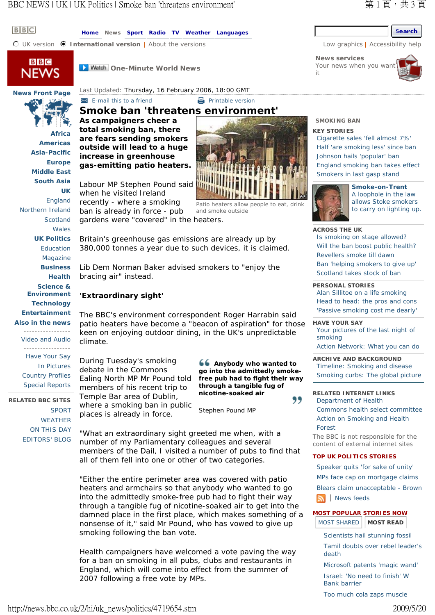# Search

**C** UK version **6 International version** | About the versions Low graphics | Accessibility help

**News services** Your news when you wan it



**D** Watch One-Minute World News

# **News Front Page**

 $B$  $B$  $C$ 

**BBC** NEWS

> **Africa Americas Asia-Pacific Europe Middle East South Asia**

> > **UK** England

**Scotland Wales UK Politics** Education Magazine **Business Health Science & Environment Technology Entertainment Also in the news**

Northern Ireland

-----------------

-----------------

Have Your Say In Pictures Country Profiles Special Reports

**RELATED BBC SITES** 

**SPORT** WEATHER ON THIS DAY EDITORS' BLOG

Video and Audio

Last Updated: Thursday, 16 February 2006, 18:00 GMT **E-mail this to a friend** Printable version

**Home News Sport Radio TV Weather Languages**

# **Smoke ban 'threatens environment'**

**As campaigners cheer a total smoking ban, there are fears sending smokers outside will lead to a huge increase in greenhouse gas-emitting patio heaters.**

Labour MP Stephen Pound said when he visited Ireland recently - where a smoking ban is already in force - pub gardens were "covered" in the heaters. Patio heaters allow people to eat, drink

Britain's greenhouse gas emissions are already up by 380,000 tonnes a year due to such devices, it is claimed.

and smoke outside

Lib Dem Norman Baker advised smokers to "enjoy the bracing air" instead.

# **'Extraordinary sight'**

The BBC's environment correspondent Roger Harrabin said patio heaters have become a "beacon of aspiration" for those keen on enjoying outdoor dining, in the UK's unpredictable climate.

During Tuesday's smoking debate in the Commons Ealing North MP Mr Pound told members of his recent trip to Temple Bar area of Dublin, where a smoking ban in public places is already in force.

**46** Anybody who wanted to **go into the admittedly smokefree pub had to fight their way through a tangible fug of nicotine-soaked air** ,,

Stephen Pound MP

"What an extraordinary sight greeted me when, with a number of my Parliamentary colleagues and several members of the Dail, I visited a number of pubs to find that all of them fell into one or other of two categories.

"Either the entire perimeter area was covered with patio heaters and armchairs so that anybody who wanted to go into the admittedly smoke-free pub had to fight their way through a tangible fug of nicotine-soaked air to get into the damned place in the first place, which makes something of a nonsense of it," said Mr Pound, who has vowed to give up smoking following the ban vote.

Health campaigners have welcomed a vote paving the way for a ban on smoking in all pubs, clubs and restaurants in England, which will come into effect from the summer of 2007 following a free vote by MPs.

**SMOKING BAN** 

#### **KEY STORIES**

Cigarette sales 'fell almost 7%' Half 'are smoking less' since ban Johnson hails 'popular' ban England smoking ban takes effect Smokers in last gasp stand



**Smoke-on-Trent**  A loophole in the law allows Stoke smokers to carry on lighting up.

**ACROSS THE UK**  Is smoking on stage allowed? Will the ban boost public health? Revellers smoke till dawn Ban 'helping smokers to give up' Scotland takes stock of ban

**PERSONAL STORIES**  Alan Sillitoe on a life smoking Head to head: the pros and cons 'Passive smoking cost me dearly'

**HAVE YOUR SAY**  Your pictures of the last night of smoking

Action Network: What you can do

**ARCHIVE AND BACKGROUND**  Timeline: Smoking and disease Smoking curbs: The global picture

#### **RELATED INTERNET LINKS**

Department of Health Commons health select committee Action on Smoking and Health Forest

The BBC is not responsible for the content of external internet sites

#### **TOP UK POLITICS STORIES**

Speaker quits 'for sake of unity' MPs face cap on mortgage claims Blears claim unacceptable - Brown **N** | News feeds

### **MOST POPULAR STORIES NOW** MOST SHARED | **MOST READ**

Scientists hail stunning fossil

Tamil doubts over rebel leader's death

Microsoft patents 'magic wand' Israel: 'No need to finish' W Bank barrier

Too much cola zaps muscle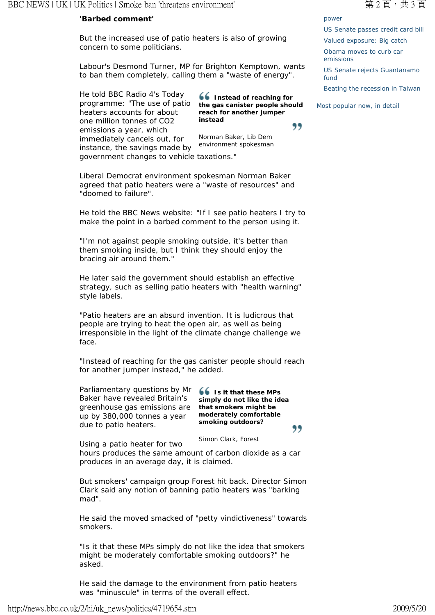## **'Barbed comment'**

But the increased use of patio heaters is also of growing concern to some politicians.

Labour's Desmond Turner, MP for Brighton Kemptown, wants to ban them completely, calling them a "waste of energy".

He told BBC Radio 4's Today programme: "The use of patio heaters accounts for about one million tonnes of CO2 emissions a year, which immediately cancels out, for instance, the savings made by government changes to vehicle taxations."

**<u>Instead of reaching for</u> the gas canister people should reach for another jumper instead** 99

Norman Baker, Lib Dem environment spokesman

Liberal Democrat environment spokesman Norman Baker agreed that patio heaters were a "waste of resources" and "doomed to failure".

He told the BBC News website: "If I see patio heaters I try to make the point in a barbed comment to the person using it.

"I'm not against people smoking outside, it's better than them smoking inside, but I think they should enjoy the bracing air around them."

He later said the government should establish an effective strategy, such as selling patio heaters with "health warning" style labels.

"Patio heaters are an absurd invention. It is ludicrous that people are trying to heat the open air, as well as being irresponsible in the light of the climate change challenge we face.

"Instead of reaching for the gas canister people should reach for another jumper instead," he added.

Parliamentary questions by Mr Baker have revealed Britain's greenhouse gas emissions are up by 380,000 tonnes a year due to patio heaters.

**Is it that these MPs simply do not like the idea that smokers might be moderately comfortable smoking outdoors?**

99

Simon Clark, Forest

Using a patio heater for two hours produces the same amount of carbon dioxide as a car produces in an average day, it is claimed.

But smokers' campaign group Forest hit back. Director Simon Clark said any notion of banning patio heaters was "barking mad".

He said the moved smacked of "petty vindictiveness" towards smokers.

"Is it that these MPs simply do not like the idea that smokers might be moderately comfortable smoking outdoors?" he asked.

He said the damage to the environment from patio heaters was "minuscule" in terms of the overall effect.

# power

US Senate passes credit card bill

Valued exposure: Big catch Obama moves to curb car emissions

US Senate rejects Guantanamo fund

Beating the recession in Taiwan

Most popular now, in detail